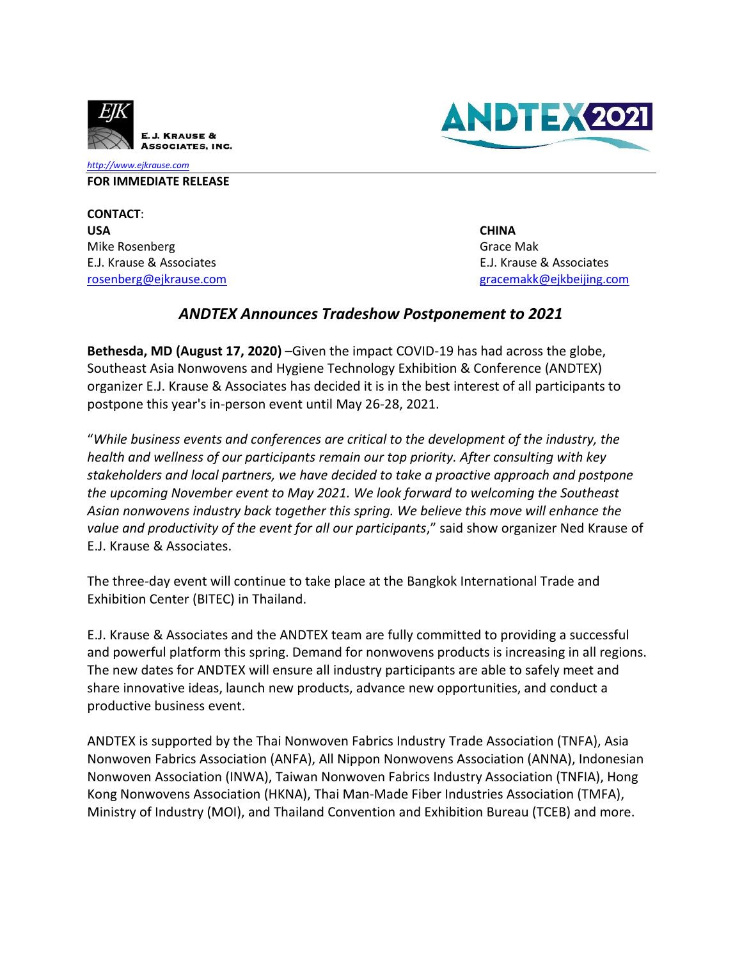



*[http://www.ejkrause.com](http://www.ejkrause.com/)* **FOR IMMEDIATE RELEASE** 

**CONTACT**: **USA CHINA** Mike Rosenberg Grace Make The Control of the Control of the Grace Make The Grace Make The Control of the Grace Make The Control of the Grace Make The Control of the Control of the Grace Make The Control of the Control of t E.J. Krause & Associates E.J. Krause & Associates

[rosenberg@ejkrause.com](mailto:rosenberg@ejkrause.com) [gracemakk@ejkbeijing.com](mailto:gracemakk@ejkbeijing.com)

## *ANDTEX Announces Tradeshow Postponement to 2021*

**Bethesda, MD (August 17, 2020)** –Given the impact COVID-19 has had across the globe, Southeast Asia Nonwovens and Hygiene Technology Exhibition & Conference (ANDTEX) organizer E.J. Krause & Associates has decided it is in the best interest of all participants to postpone this year's in-person event until May 26-28, 2021.

"*While business events and conferences are critical to the development of the industry, the health and wellness of our participants remain our top priority. After consulting with key stakeholders and local partners, we have decided to take a proactive approach and postpone the upcoming November event to May 2021. We look forward to welcoming the Southeast Asian nonwovens industry back together this spring. We believe this move will enhance the value and productivity of the event for all our participants*," said show organizer Ned Krause of E.J. Krause & Associates.

The three-day event will continue to take place at the Bangkok International Trade and Exhibition Center (BITEC) in Thailand.

E.J. Krause & Associates and the ANDTEX team are fully committed to providing a successful and powerful platform this spring. Demand for nonwovens products is increasing in all regions. The new dates for ANDTEX will ensure all industry participants are able to safely meet and share innovative ideas, launch new products, advance new opportunities, and conduct a productive business event.

ANDTEX is supported by the Thai Nonwoven Fabrics Industry Trade Association (TNFA), Asia Nonwoven Fabrics Association (ANFA), All Nippon Nonwovens Association (ANNA), Indonesian Nonwoven Association (INWA), Taiwan Nonwoven Fabrics Industry Association (TNFIA), Hong Kong Nonwovens Association (HKNA), Thai Man-Made Fiber Industries Association (TMFA), Ministry of Industry (MOI), and Thailand Convention and Exhibition Bureau (TCEB) and more.